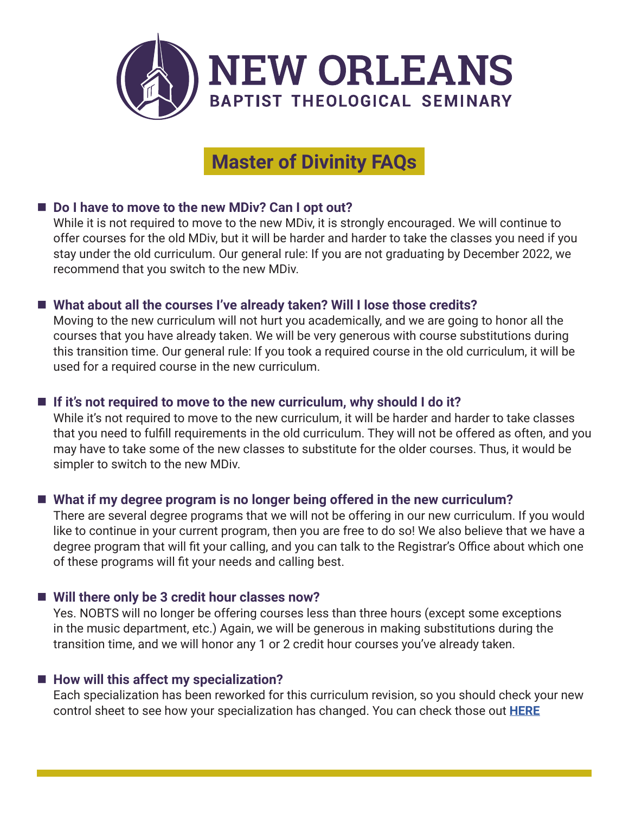

# **Master of Divinity FAQs**

## ■ Do I have to move to the new MDiv? Can I opt out?

While it is not required to move to the new MDiv, it is strongly encouraged. We will continue to offer courses for the old MDiv, but it will be harder and harder to take the classes you need if you stay under the old curriculum. Our general rule: If you are not graduating by December 2022, we recommend that you switch to the new MDiv.

## ■ What about all the courses I've already taken? Will I lose those credits?

Moving to the new curriculum will not hurt you academically, and we are going to honor all the courses that you have already taken. We will be very generous with course substitutions during this transition time. Our general rule: If you took a required course in the old curriculum, it will be used for a required course in the new curriculum.

## ■ If it's not required to move to the new curriculum, why should I do it?

While it's not required to move to the new curriculum, it will be harder and harder to take classes that you need to fulfill requirements in the old curriculum. They will not be offered as often, and you may have to take some of the new classes to substitute for the older courses. Thus, it would be simpler to switch to the new MDiv.

# ■ What if my degree program is no longer being offered in the new curriculum?

There are several degree programs that we will not be offering in our new curriculum. If you would like to continue in your current program, then you are free to do so! We also believe that we have a degree program that will fit your calling, and you can talk to the Registrar's Office about which one of these programs will fit your needs and calling best.

## ■ Will there only be 3 credit hour classes now?

Yes. NOBTS will no longer be offering courses less than three hours (except some exceptions in the music department, etc.) Again, we will be generous in making substitutions during the transition time, and we will honor any 1 or 2 credit hour courses you've already taken.

## ■ How will this affect my specialization?

Each specialization has been reworked for this curriculum revision, so you should check your new control sheet to see how your specialization has changed. You can check those out **[HERE](https://www.nobts.edu/registrar/New%20MDiv%20Degrees.pdf)**